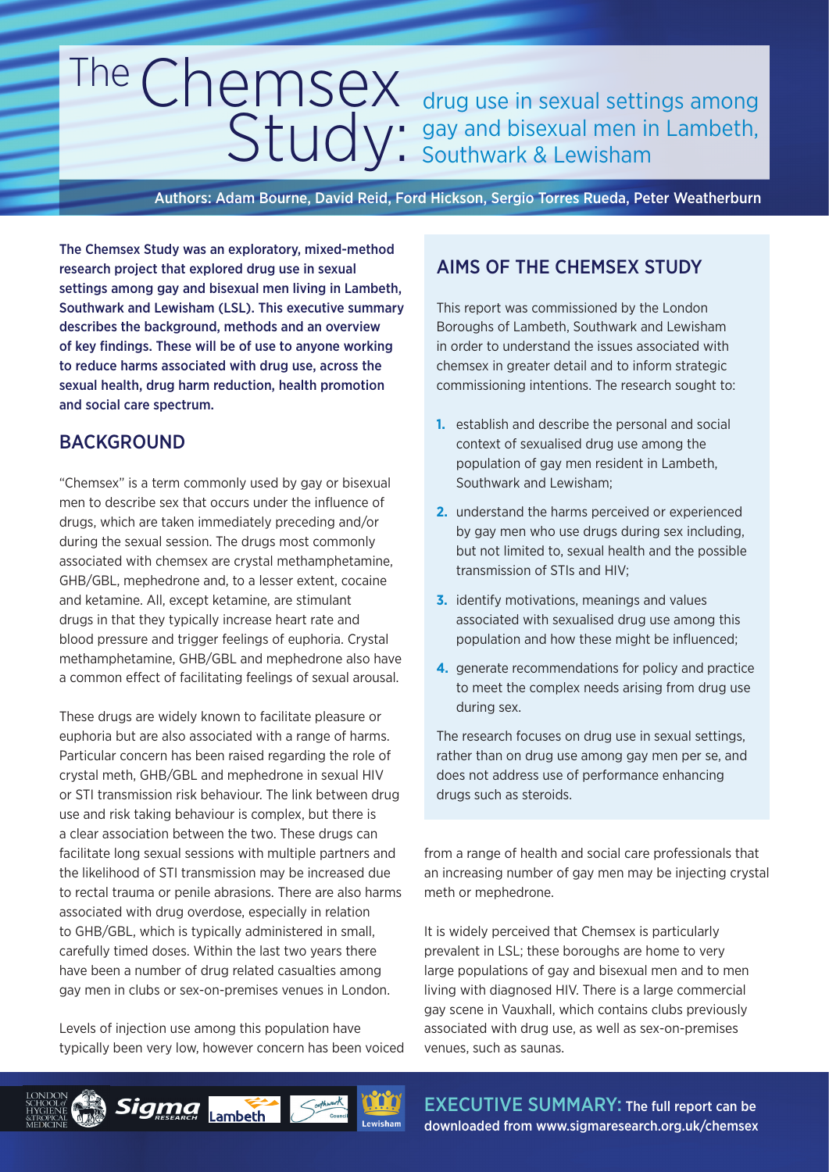# TheChemsex CITUCTITSUA drug use in sexual settings among<br>Study: gay and bisexual men in Lambeth, gay and bisexual men in Lambeth, Southwark & Lewisham

Authors: Adam Bourne, David Reid, Ford Hickson, Sergio Torres Rueda, Peter Weatherburn

The Chemsex Study was an exploratory, mixed-method research project that explored drug use in sexual settings among gay and bisexual men living in Lambeth, Southwark and Lewisham (LSL). This executive summary describes the background, methods and an overview of key findings. These will be of use to anyone working to reduce harms associated with drug use, across the sexual health, drug harm reduction, health promotion and social care spectrum.

# BACKGROUND

"Chemsex" is a term commonly used by gay or bisexual men to describe sex that occurs under the influence of drugs, which are taken immediately preceding and/or during the sexual session. The drugs most commonly associated with chemsex are crystal methamphetamine, GHB/GBL, mephedrone and, to a lesser extent, cocaine and ketamine. All, except ketamine, are stimulant drugs in that they typically increase heart rate and blood pressure and trigger feelings of euphoria. Crystal methamphetamine, GHB/GBL and mephedrone also have a common effect of facilitating feelings of sexual arousal.

These drugs are widely known to facilitate pleasure or euphoria but are also associated with a range of harms. Particular concern has been raised regarding the role of crystal meth, GHB/GBL and mephedrone in sexual HIV or STI transmission risk behaviour. The link between drug use and risk taking behaviour is complex, but there is a clear association between the two. These drugs can facilitate long sexual sessions with multiple partners and the likelihood of STI transmission may be increased due to rectal trauma or penile abrasions. There are also harms associated with drug overdose, especially in relation to GHB/GBL, which is typically administered in small, carefully timed doses. Within the last two years there have been a number of drug related casualties among gay men in clubs or sex-on-premises venues in London.

Levels of injection use among this population have typically been very low, however concern has been voiced

Sigma Lambeth

# AIMS OF THE CHEMSEX STUDY

This report was commissioned by the London Boroughs of Lambeth, Southwark and Lewisham in order to understand the issues associated with chemsex in greater detail and to inform strategic commissioning intentions. The research sought to:

- **1.** establish and describe the personal and social context of sexualised drug use among the population of gay men resident in Lambeth, Southwark and Lewisham;
- **2.** understand the harms perceived or experienced by gay men who use drugs during sex including, but not limited to, sexual health and the possible transmission of STIs and HIV;
- **3.** identify motivations, meanings and values associated with sexualised drug use among this population and how these might be influenced;
- **4.** generate recommendations for policy and practice to meet the complex needs arising from drug use during sex.

The research focuses on drug use in sexual settings, rather than on drug use among gay men per se, and does not address use of performance enhancing drugs such as steroids.

from a range of health and social care professionals that an increasing number of gay men may be injecting crystal meth or mephedrone.

It is widely perceived that Chemsex is particularly prevalent in LSL; these boroughs are home to very large populations of gay and bisexual men and to men living with diagnosed HIV. There is a large commercial gay scene in Vauxhall, which contains clubs previously associated with drug use, as well as sex-on-premises venues, such as saunas.

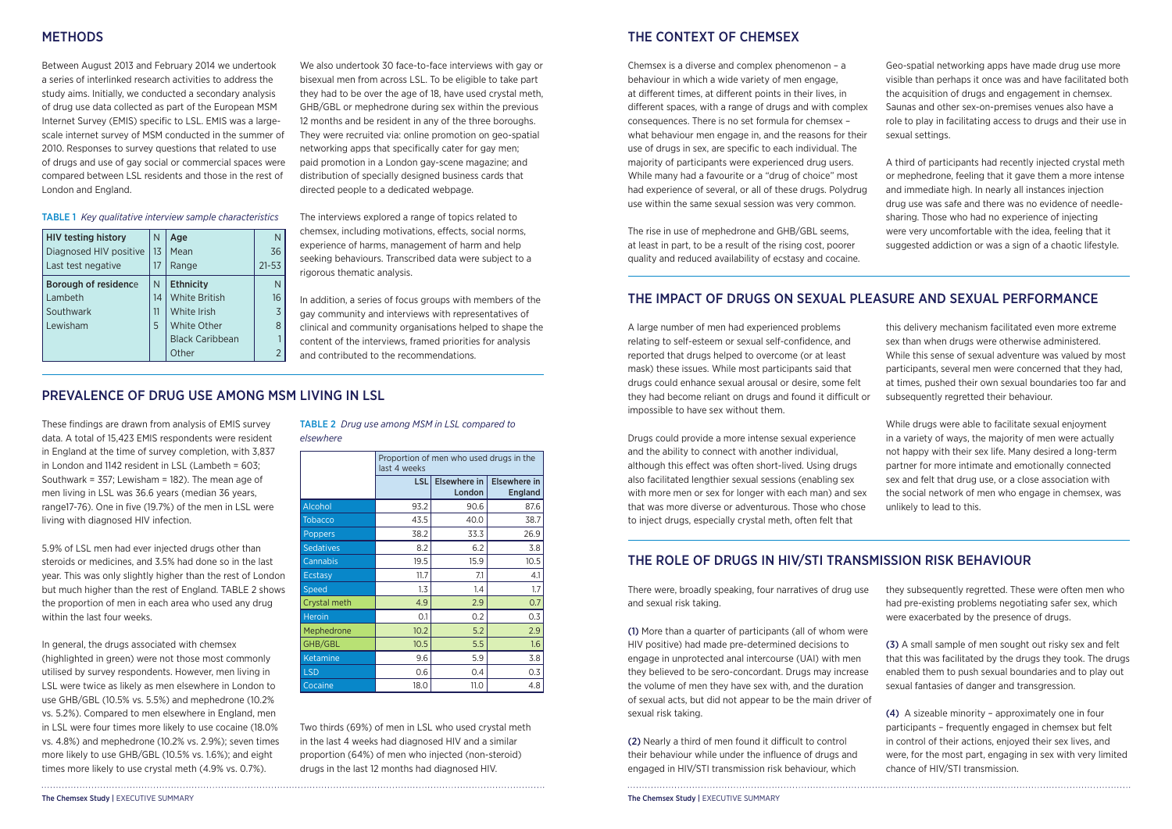Between August 2013 and February 2014 we undertook a series of interlinked research activities to address the study aims. Initially, we conducted a secondary analysis of drug use data collected as part of the European MSM Internet Survey (EMIS) specific to LSL. EMIS was a largescale internet survey of MSM conducted in the summer of 2010. Responses to survey questions that related to use of drugs and use of gay social or commercial spaces were compared between LSL residents and those in the rest of London and England.

We also undertook 30 face-to-face interviews with gay or bisexual men from across LSL. To be eligible to take part they had to be over the age of 18, have used crystal meth, GHB/GBL or mephedrone during sex within the previous 12 months and be resident in any of the three boroughs. They were recruited via: online promotion on geo-spatial networking apps that specifically cater for gay men; paid promotion in a London gay-scene magazine; and distribution of specially designed business cards that directed people to a dedicated webpage.

5.9% of LSL men had ever injected drugs other than steroids or medicines, and 3.5% had done so in the last year. This was only slightly higher than the rest of London but much higher than the rest of England. TABLE 2 shows the proportion of men in each area who used any drug within the last four weeks.

The interviews explored a range of topics related to chemsex, including motivations, effects, social norms, experience of harms, management of harm and help seeking behaviours. Transcribed data were subject to a rigorous thematic analysis.

In addition, a series of focus groups with members of the gay community and interviews with representatives of clinical and community organisations helped to shape the content of the interviews, framed priorities for analysis and contributed to the recommendations.

| <b>HIV testing history</b><br>Diagnosed HIV positive<br>Last test negative | N<br>13<br>17 | Age<br>Mean<br>Range   | N<br>36<br>$21 - 53$ |
|----------------------------------------------------------------------------|---------------|------------------------|----------------------|
| <b>Borough of residence</b>                                                | N             | <b>Ethnicity</b>       |                      |
| Lambeth                                                                    | 14            | <b>White British</b>   | 16                   |
| Southwark                                                                  | 11            | White Irish            | $\overline{5}$       |
| Lewisham                                                                   | 5             | <b>White Other</b>     | 8                    |
|                                                                            |               | <b>Black Caribbean</b> |                      |
|                                                                            |               | Other                  |                      |

TABLE 1 *Key qualitative interview sample characteristics*

These findings are drawn from analysis of EMIS survey data. A total of 15,423 EMIS respondents were resident in England at the time of survey completion, with 3,837 in London and 1142 resident in LSL (Lambeth = 603; Southwark = 357; Lewisham = 182). The mean age of men living in LSL was 36.6 years (median 36 years, range17-76). One in five (19.7%) of the men in LSL were living with diagnosed HIV infection.

In general, the drugs associated with chemsex (highlighted in green) were not those most commonly utilised by survey respondents. However, men living in LSL were twice as likely as men elsewhere in London to use GHB/GBL (10.5% vs. 5.5%) and mephedrone (10.2% vs. 5.2%). Compared to men elsewhere in England, men in LSL were four times more likely to use cocaine (18.0% vs. 4.8%) and mephedrone (10.2% vs. 2.9%); seven times more likely to use GHB/GBL (10.5% vs. 1.6%); and eight times more likely to use crystal meth (4.9% vs. 0.7%).

# PREVALENCE OF DRUG USE AMONG MSM LIVING IN LSL

# METHODS THE CONTEXT OF CHEMSEX

TABLE 2 *Drug use among MSM in LSL compared to elsewhere* 

|                  | Proportion of men who used drugs in the<br>last 4 weeks |                        |                                       |  |
|------------------|---------------------------------------------------------|------------------------|---------------------------------------|--|
|                  | <b>LSL</b>                                              | Elsewhere in<br>London | <b>Elsewhere in</b><br><b>England</b> |  |
| <b>Alcohol</b>   | 93.2                                                    | 90.6                   | 87.6                                  |  |
| <b>Tobacco</b>   | 43.5                                                    | 40.0                   | 38.7                                  |  |
| Poppers          | 38.2                                                    | 33.3                   | 26.9                                  |  |
| <b>Sedatives</b> | 8.2                                                     | 6.2                    | 3.8                                   |  |
| Cannabis         | 19.5                                                    | 15.9                   | 10.5                                  |  |
| <b>Ecstasy</b>   | 11.7                                                    | 7.1                    | 4.1                                   |  |
| <b>Speed</b>     | 1.3                                                     | 1.4                    | 1.7                                   |  |
| Crystal meth     | 4.9                                                     | 2.9                    | 0.7                                   |  |
| <b>Heroin</b>    | 0.1                                                     | 0.2                    | 0.3                                   |  |
| Mephedrone       | 10.2                                                    | 5.2                    | 2.9                                   |  |
| GHB/GBL          | 10.5                                                    | 5.5                    | 1.6                                   |  |
| Ketamine         | 9.6                                                     | 5.9                    | 3.8                                   |  |
| <b>LSD</b>       | 0.6                                                     | 0.4                    | 0.3                                   |  |
| Cocaine          | 18.0                                                    | 11.0                   | 4.8                                   |  |

Chemsex is a diverse and complex phenomenon – a behaviour in which a wide variety of men engage, at different times, at different points in their lives, in different spaces, with a range of drugs and with complex consequences. There is no set formula for chemsex – what behaviour men engage in, and the reasons for their use of drugs in sex, are specific to each individual. The majority of participants were experienced drug users. While many had a favourite or a "drug of choice" most had experience of several, or all of these drugs. Polydrug use within the same sexual session was very common.

The rise in use of mephedrone and GHB/GBL seems, at least in part, to be a result of the rising cost, poorer quality and reduced availability of ecstasy and cocaine.

Geo-spatial networking apps have made drug use more visible than perhaps it once was and have facilitated both the acquisition of drugs and engagement in chemsex. Saunas and other sex-on-premises venues also have a role to play in facilitating access to drugs and their use in sexual settings.

A third of participants had recently injected crystal meth or mephedrone, feeling that it gave them a more intense and immediate high. In nearly all instances injection drug use was safe and there was no evidence of needlesharing. Those who had no experience of injecting were very uncomfortable with the idea, feeling that it suggested addiction or was a sign of a chaotic lifestyle.

Two thirds (69%) of men in LSL who used crystal meth in the last 4 weeks had diagnosed HIV and a similar proportion (64%) of men who injected (non-steroid) drugs in the last 12 months had diagnosed HIV.

# THE IMPACT OF DRUGS ON SEXUAL PLEASURE AND SEXUAL PERFORMANCE

A large number of men had experienced problems relating to self-esteem or sexual self-confidence, and reported that drugs helped to overcome (or at least mask) these issues. While most participants said that drugs could enhance sexual arousal or desire, some felt they had become reliant on drugs and found it difficult or impossible to have sex without them.

Drugs could provide a more intense sexual experience and the ability to connect with another individual, although this effect was often short-lived. Using drugs also facilitated lengthier sexual sessions (enabling sex with more men or sex for longer with each man) and sex that was more diverse or adventurous. Those who chose to inject drugs, especially crystal meth, often felt that

this delivery mechanism facilitated even more extreme sex than when drugs were otherwise administered. While this sense of sexual adventure was valued by most participants, several men were concerned that they had, at times, pushed their own sexual boundaries too far and subsequently regretted their behaviour.

While drugs were able to facilitate sexual enjoyment in a variety of ways, the majority of men were actually not happy with their sex life. Many desired a long-term partner for more intimate and emotionally connected sex and felt that drug use, or a close association with the social network of men who engage in chemsex, was unlikely to lead to this.

There were, broadly speaking, four narratives of drug use and sexual risk taking.

(2) Nearly a third of men found it difficult to control their behaviour while under the influence of drugs and engaged in HIV/STI transmission risk behaviour, which

(1) More than a quarter of participants (all of whom were HIV positive) had made pre-determined decisions to engage in unprotected anal intercourse (UAI) with men they believed to be sero-concordant. Drugs may increase the volume of men they have sex with, and the duration of sexual acts, but did not appear to be the main driver of sexual risk taking. (3) A small sample of men sought out risky sex and felt that this was facilitated by the drugs they took. The drugs enabled them to push sexual boundaries and to play out sexual fantasies of danger and transgression. (4) A sizeable minority – approximately one in four

they subsequently regretted. These were often men who had pre-existing problems negotiating safer sex, which were exacerbated by the presence of drugs.

participants – frequently engaged in chemsex but felt in control of their actions, enjoyed their sex lives, and were, for the most part, engaging in sex with very limited chance of HIV/STI transmission.

# THE ROLE OF DRUGS IN HIV/STI TRANSMISSION RISK BEHAVIOUR